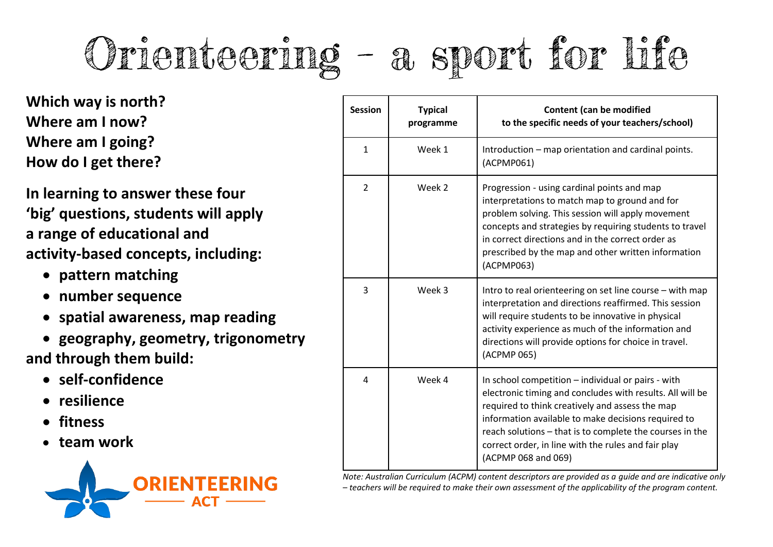## Orienteering – a sport for life

**Which way is north? Where am I now? Where am I going? How do I get there?**

**In learning to answer these four 'big' questions, students will apply a range of educational and activity-based concepts, including:**

- **pattern matching**
- **number sequence**
- **spatial awareness, map reading**
- **geography, geometry, trigonometry and through them build:**
	- **self-confidence**
	- **resilience**
	- **fitness**
	- **team work**



| <b>Session</b> | <b>Typical</b><br>programme | <b>Content (can be modified</b><br>to the specific needs of your teachers/school)                                                                                                                                                                                                                                                                                   |  |
|----------------|-----------------------------|---------------------------------------------------------------------------------------------------------------------------------------------------------------------------------------------------------------------------------------------------------------------------------------------------------------------------------------------------------------------|--|
| $\mathbf{1}$   | Week 1                      | Introduction - map orientation and cardinal points.<br>(ACPMP061)                                                                                                                                                                                                                                                                                                   |  |
| $\overline{2}$ | Week 2                      | Progression - using cardinal points and map<br>interpretations to match map to ground and for<br>problem solving. This session will apply movement<br>concepts and strategies by requiring students to travel<br>in correct directions and in the correct order as<br>prescribed by the map and other written information<br>(ACPMP063)                             |  |
| 3              | Week 3                      | Intro to real orienteering on set line course - with map<br>interpretation and directions reaffirmed. This session<br>will require students to be innovative in physical<br>activity experience as much of the information and<br>directions will provide options for choice in travel.<br>(ACPMP 065)                                                              |  |
| 4              | Week 4                      | In school competition – individual or pairs - with<br>electronic timing and concludes with results. All will be<br>required to think creatively and assess the map<br>information available to make decisions required to<br>reach solutions - that is to complete the courses in the<br>correct order, in line with the rules and fair play<br>(ACPMP 068 and 069) |  |

*Note: Australian Curriculum (ACPM) content descriptors are provided as a guide and are indicative only – teachers will be required to make their own assessment of the applicability of the program content.*